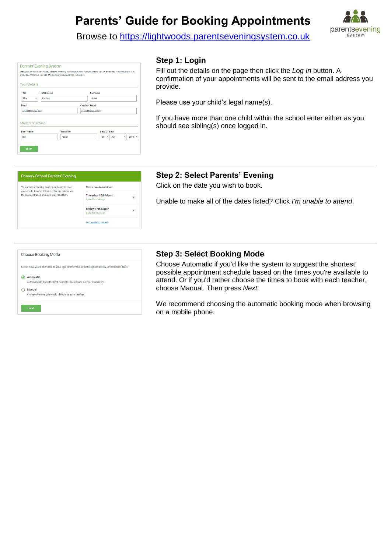# **Parents' Guide for Booking Appointments**



Browse to https://lightwoods.parentseveningsystem.co.uk

|                          | <b>Parents' Evening System</b><br>Welcome to the Green Abbey parents' evening booking system. Appointments can be amended via a link from the<br>email confirmation - please ensure your email address is correct. |         |                      |        |               |  |      |   |          |  |
|--------------------------|--------------------------------------------------------------------------------------------------------------------------------------------------------------------------------------------------------------------|---------|----------------------|--------|---------------|--|------|---|----------|--|
| <b>Your Details</b>      |                                                                                                                                                                                                                    |         |                      |        |               |  |      |   |          |  |
| Title                    | <b>First Name</b>                                                                                                                                                                                                  |         |                      | Sumame |               |  |      |   |          |  |
| <b>Mrs</b><br>۰          | Rachael                                                                                                                                                                                                            |         | Abbot                |        |               |  |      |   |          |  |
| <b>Email</b>             |                                                                                                                                                                                                                    |         | <b>Confirm Email</b> |        |               |  |      |   |          |  |
| rabbot4@gmail.com        |                                                                                                                                                                                                                    |         | rabbot4@gmail.com    |        |               |  |      |   |          |  |
| <b>Student's Details</b> |                                                                                                                                                                                                                    |         |                      |        |               |  |      |   |          |  |
| <b>First Name</b>        |                                                                                                                                                                                                                    | Surname |                      |        | Date Of Birth |  |      |   |          |  |
| Ben                      |                                                                                                                                                                                                                    | Abbot   |                      |        | $20 -$        |  | July | ٠ | $2000 -$ |  |

# **Step 1: Login**

Fill out the details on the page then click the *Log In* button. A confirmation of your appointments will be sent to the email address you provide.

Please use your child's legal name(s).

If you have more than one child within the school enter either as you should see sibling(s) once logged in.



# **Step 2: Select Parents' Evening**

Click on the date you wish to book.

Unable to make all of the dates listed? Click *I'm unable to attend*.

| <b>Choose Booking Mode</b>                                                                 |
|--------------------------------------------------------------------------------------------|
|                                                                                            |
| Select how you'd like to book your appointments using the option below, and then hit Next. |
| Automatic                                                                                  |
| Automatically book the best possible times based on your availability                      |
| Manual                                                                                     |
| Choose the time you would like to see each teacher                                         |
| <b>Next</b>                                                                                |

## **Step 3: Select Booking Mode**

Choose Automatic if you'd like the system to suggest the shortest possible appointment schedule based on the times you're available to attend. Or if you'd rather choose the times to book with each teacher, choose Manual. Then press *Next*.

We recommend choosing the automatic booking mode when browsing on a mobile phone.